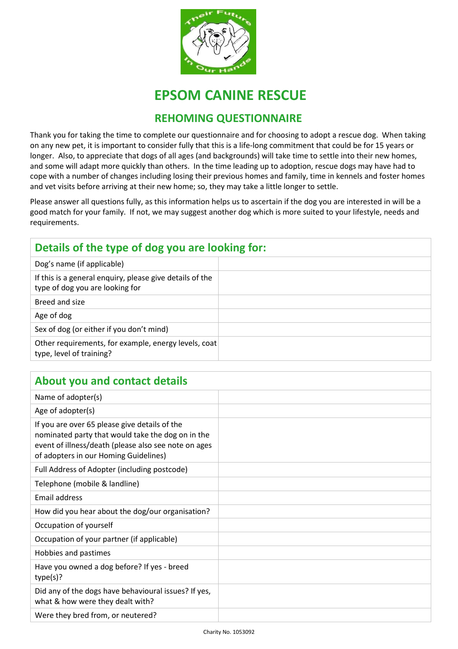

# **EPSOM CANINE RESCUE**

#### **REHOMING QUESTIONNAIRE**

Thank you for taking the time to complete our questionnaire and for choosing to adopt a rescue dog. When taking on any new pet, it is important to consider fully that this is a life-long commitment that could be for 15 years or longer. Also, to appreciate that dogs of all ages (and backgrounds) will take time to settle into their new homes, and some will adapt more quickly than others. In the time leading up to adoption, rescue dogs may have had to cope with a number of changes including losing their previous homes and family, time in kennels and foster homes and vet visits before arriving at their new home; so, they may take a little longer to settle.

Please answer all questions fully, as this information helps us to ascertain if the dog you are interested in will be a good match for your family. If not, we may suggest another dog which is more suited to your lifestyle, needs and requirements.

#### **Details of the type of dog you are looking for:** Dog's name (if applicable) If this is a general enquiry, please give details of the type of dog you are looking for Breed and size Age of dog Sex of dog (or either if you don't mind) Other requirements, for example, energy levels, coat type, level of training?

#### **About you and contact details**

| Name of adopter(s)                                                                                                                                                                                  |  |
|-----------------------------------------------------------------------------------------------------------------------------------------------------------------------------------------------------|--|
| Age of adopter(s)                                                                                                                                                                                   |  |
| If you are over 65 please give details of the<br>nominated party that would take the dog on in the<br>event of illness/death (please also see note on ages<br>of adopters in our Homing Guidelines) |  |
| Full Address of Adopter (including postcode)                                                                                                                                                        |  |
| Telephone (mobile & landline)                                                                                                                                                                       |  |
| Email address                                                                                                                                                                                       |  |
| How did you hear about the dog/our organisation?                                                                                                                                                    |  |
| Occupation of yourself                                                                                                                                                                              |  |
| Occupation of your partner (if applicable)                                                                                                                                                          |  |
| Hobbies and pastimes                                                                                                                                                                                |  |
| Have you owned a dog before? If yes - breed<br>type(s)?                                                                                                                                             |  |
| Did any of the dogs have behavioural issues? If yes,<br>what & how were they dealt with?                                                                                                            |  |
| Were they bred from, or neutered?                                                                                                                                                                   |  |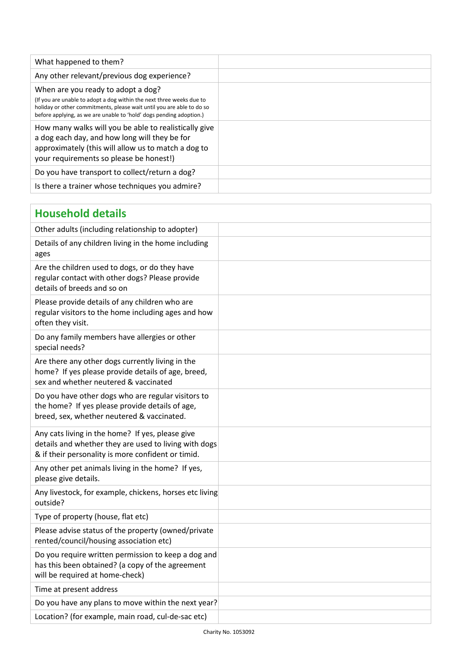| What happened to them?                                                                                                                                                                                                                                     |  |
|------------------------------------------------------------------------------------------------------------------------------------------------------------------------------------------------------------------------------------------------------------|--|
| Any other relevant/previous dog experience?                                                                                                                                                                                                                |  |
| When are you ready to adopt a dog?<br>(If you are unable to adopt a dog within the next three weeks due to<br>holiday or other commitments, please wait until you are able to do so<br>before applying, as we are unable to 'hold' dogs pending adoption.) |  |
| How many walks will you be able to realistically give<br>a dog each day, and how long will they be for<br>approximately (this will allow us to match a dog to<br>your requirements so please be honest!)                                                   |  |
| Do you have transport to collect/return a dog?                                                                                                                                                                                                             |  |
| Is there a trainer whose techniques you admire?                                                                                                                                                                                                            |  |

| <b>Household details</b>                                                                                                                                        |  |
|-----------------------------------------------------------------------------------------------------------------------------------------------------------------|--|
| Other adults (including relationship to adopter)                                                                                                                |  |
| Details of any children living in the home including<br>ages                                                                                                    |  |
| Are the children used to dogs, or do they have<br>regular contact with other dogs? Please provide<br>details of breeds and so on                                |  |
| Please provide details of any children who are<br>regular visitors to the home including ages and how<br>often they visit.                                      |  |
| Do any family members have allergies or other<br>special needs?                                                                                                 |  |
| Are there any other dogs currently living in the<br>home? If yes please provide details of age, breed,<br>sex and whether neutered & vaccinated                 |  |
| Do you have other dogs who are regular visitors to<br>the home? If yes please provide details of age,<br>breed, sex, whether neutered & vaccinated.             |  |
| Any cats living in the home? If yes, please give<br>details and whether they are used to living with dogs<br>& if their personality is more confident or timid. |  |
| Any other pet animals living in the home? If yes,<br>please give details.                                                                                       |  |
| Any livestock, for example, chickens, horses etc living<br>outside?                                                                                             |  |
| Type of property (house, flat etc)                                                                                                                              |  |
| Please advise status of the property (owned/private<br>rented/council/housing association etc)                                                                  |  |
| Do you require written permission to keep a dog and<br>has this been obtained? (a copy of the agreement<br>will be required at home-check)                      |  |
| Time at present address                                                                                                                                         |  |
| Do you have any plans to move within the next year?                                                                                                             |  |
| Location? (for example, main road, cul-de-sac etc)                                                                                                              |  |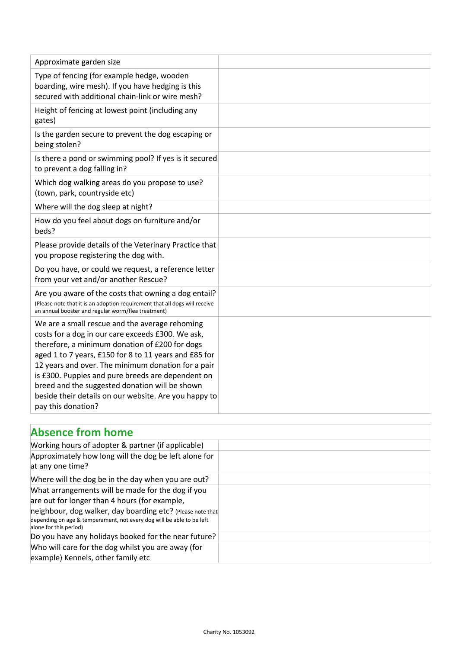| Approximate garden size                                                                                                                                                                                                                                                                                                                                                                                                                                    |  |
|------------------------------------------------------------------------------------------------------------------------------------------------------------------------------------------------------------------------------------------------------------------------------------------------------------------------------------------------------------------------------------------------------------------------------------------------------------|--|
| Type of fencing (for example hedge, wooden<br>boarding, wire mesh). If you have hedging is this<br>secured with additional chain-link or wire mesh?                                                                                                                                                                                                                                                                                                        |  |
| Height of fencing at lowest point (including any<br>gates)                                                                                                                                                                                                                                                                                                                                                                                                 |  |
| Is the garden secure to prevent the dog escaping or<br>being stolen?                                                                                                                                                                                                                                                                                                                                                                                       |  |
| Is there a pond or swimming pool? If yes is it secured<br>to prevent a dog falling in?                                                                                                                                                                                                                                                                                                                                                                     |  |
| Which dog walking areas do you propose to use?<br>(town, park, countryside etc)                                                                                                                                                                                                                                                                                                                                                                            |  |
| Where will the dog sleep at night?                                                                                                                                                                                                                                                                                                                                                                                                                         |  |
| How do you feel about dogs on furniture and/or<br>beds?                                                                                                                                                                                                                                                                                                                                                                                                    |  |
| Please provide details of the Veterinary Practice that<br>you propose registering the dog with.                                                                                                                                                                                                                                                                                                                                                            |  |
| Do you have, or could we request, a reference letter<br>from your vet and/or another Rescue?                                                                                                                                                                                                                                                                                                                                                               |  |
| Are you aware of the costs that owning a dog entail?<br>(Please note that it is an adoption requirement that all dogs will receive<br>an annual booster and regular worm/flea treatment)                                                                                                                                                                                                                                                                   |  |
| We are a small rescue and the average rehoming<br>costs for a dog in our care exceeds £300. We ask,<br>therefore, a minimum donation of £200 for dogs<br>aged 1 to 7 years, £150 for 8 to 11 years and £85 for<br>12 years and over. The minimum donation for a pair<br>is £300. Puppies and pure breeds are dependent on<br>breed and the suggested donation will be shown<br>beside their details on our website. Are you happy to<br>pay this donation? |  |

## **Absence from home**

| Working hours of adopter & partner (if applicable)<br>Approximately how long will the dog be left alone for<br>at any one time?                                                                                                                                     |  |
|---------------------------------------------------------------------------------------------------------------------------------------------------------------------------------------------------------------------------------------------------------------------|--|
| Where will the dog be in the day when you are out?                                                                                                                                                                                                                  |  |
| What arrangements will be made for the dog if you<br>are out for longer than 4 hours (for example,<br>neighbour, dog walker, day boarding etc? (Please note that<br>depending on age & temperament, not every dog will be able to be left<br>alone for this period) |  |
| Do you have any holidays booked for the near future?                                                                                                                                                                                                                |  |
| Who will care for the dog whilst you are away (for<br>example) Kennels, other family etc                                                                                                                                                                            |  |